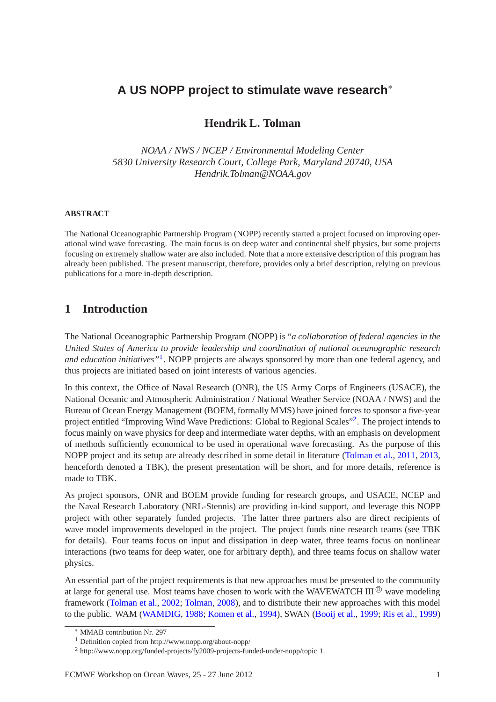# **A US NOPP project to stimulate wave research**<sup>∗</sup>

## **Hendrik L. Tolman**

*NOAA / NWS / NCEP / Environmental Modeling Center 5830 University Research Court, College Park, Maryland 20740, USA Hendrik.Tolman@NOAA.gov*

#### **ABSTRACT**

The National Oceanographic Partnership Program (NOPP) recently started a project focused on improving operational wind wave forecasting. The main focus is on deep water and continental shelf physics, but some projects focusing on extremely shallow water are also included. Note that a more extensive description of this program has already been published. The present manuscript, therefore, provides only a brief description, relying on previous publications for a more in-depth description.

# **1 Introduction**

The National Oceanographic Partnership Program (NOPP) is "*a collaboration of federal agencies in the United States of America to provide leadership and coordination of national oceanographic research and education initiatives"*[1](#page-0-0) . NOPP projects are always sponsored by more than one federal agency, and thus projects are initiated based on joint interests of various agencies.

In this context, the Office of Naval Research (ONR), the US Army Corps of Engineers (USACE), the National Oceanic and Atmospheric Administration / National Weather Service (NOAA / NWS) and the Bureau of Ocean Energy Management (BOEM, formally MMS) have joined forces to sponsor a five-year project entitled "Improving Wind Wave Predictions: Global to Regional Scales"<sup>[2](#page-0-1)</sup>. The project intends to focus mainly on wave physics for deep and intermediate water depths, with an emphasis on development of methods sufficiently economical to be used in operational wave forecasting. As the purpose of this NOPP project and its setup are already described in some detail in literature [\(Tolman et al.](#page-5-0), [2011](#page-5-0), [2013](#page-5-1), henceforth denoted a TBK), the present presentation will be short, and for more details, reference is made to TBK.

As project sponsors, ONR and BOEM provide funding for research groups, and USACE, NCEP and the Naval Research Laboratory (NRL-Stennis) are providing in-kind support, and leverage this NOPP project with other separately funded projects. The latter three partners also are direct recipients of wave model improvements developed in the project. The project funds nine research teams (see TBK for details). Four teams focus on input and dissipation in deep water, three teams focus on nonlinear interactions (two teams for deep water, one for arbitrary depth), and three teams focus on shallow water physics.

An essential part of the project requirements is that new approaches must be presented to the community at large for general use. Most teams have chosen to work with the WAVEWATCH III  $\&$  wave modeling framework [\(Tolman et al.,](#page-5-2) [2002;](#page-5-2) [Tolman,](#page-5-3) [2008](#page-5-3)), and to distribute their new approaches with this model to the public. WAM [\(WAMDIG,](#page-5-4) [1988;](#page-5-4) [Komen et al.](#page-4-0), [1994](#page-4-0)), SWAN [\(Booij et al.](#page-4-1), [1999](#page-4-1); [Ris et al.,](#page-4-2) [1999\)](#page-4-2)

MMAB contribution Nr. 297

<sup>1</sup> Definition copied from http://www.nopp.org/about-nopp/

<span id="page-0-1"></span><span id="page-0-0"></span><sup>2</sup> http://www.nopp.org/funded-projects/fy2009-projects-funded-under-nopp/topic 1.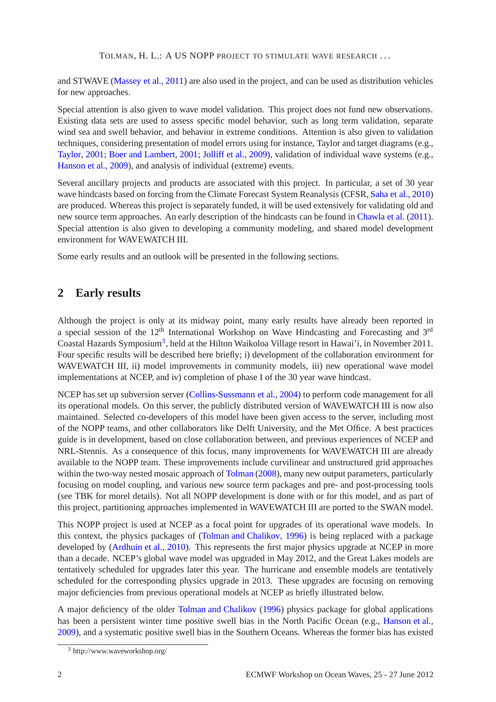TOLMAN, H. L.: A US NOPP PROJECT TO STIMULATE WAVE RESEARCH . . .

and STWAVE [\(Massey et al.](#page-4-3), [2011](#page-4-3)) are also used in the project, and can be used as distribution vehicles for new approaches.

Special attention is also given to wave model validation. This project does not fund new observations. Existing data sets are used to assess specific model behavior, such as long term validation, separate wind sea and swell behavior, and behavior in extreme conditions. Attention is also given to validation techniques, considering presentation of model errors using for instance, Taylor and target diagrams (e.g., [Taylor](#page-5-5), [2001;](#page-5-5) [Boer and Lambert](#page-4-4), [2001](#page-4-4); [Jolliff et al.](#page-4-5), [2009](#page-4-5)), validation of individual wave systems (e.g., [Hanson et al.](#page-4-6), [2009](#page-4-6)), and analysis of individual (extreme) events.

Several ancillary projects and products are associated with this project. In particular, a set of 30 year wave hindcasts based on forcing from the Climate Forecast System Reanalysis (CFSR, [Saha et al.](#page-5-6), [2010](#page-5-6)) are produced. Whereas this project is separately funded, it will be used extensively for validating old and new source term approaches. An early description of the hindcasts can be found in [Chawla et al.](#page-4-7) [\(2011](#page-4-7)). Special attention is also given to developing a community modeling, and shared model development environment for WAVEWATCH III.

Some early results and an outlook will be presented in the following sections.

### **2 Early results**

Although the project is only at its midway point, many early results have already been reported in a special session of the 12<sup>th</sup> International Workshop on Wave Hindcasting and Forecasting and 3<sup>rd</sup> Coastal Hazards Symposium<sup>[3](#page-1-0)</sup>, held at the Hilton Waikoloa Village resort in Hawai'i, in November 2011. Four specific results will be described here briefly; i) development of the collaboration environment for WAVEWATCH III, ii) model improvements in community models, iii) new operational wave model implementations at NCEP, and iv) completion of phase I of the 30 year wave hindcast.

NCEP has set up subversion server [\(Collins-Sussmann et al.](#page-4-8), [2004](#page-4-8)) to perform code management for all its operational models. On this server, the publicly distributed version of WAVEWATCH III is now also maintained. Selected co-developers of this model have been given access to the server, including most of the NOPP teams, and other collaborators like Delft University, and the Met Office. A best practices guide is in development, based on close collaboration between, and previous experiences of NCEP and NRL-Stennis. As a consequence of this focus, many improvements for WAVEWATCH III are already available to the NOPP team. These improvements include curvilinear and unstructured grid approaches within the two-way nested mosaic approach of [Tolman](#page-5-3) [\(2008\)](#page-5-3), many new output parameters, particularly focusing on model coupling, and various new source term packages and pre- and post-processing tools (see TBK for morel details). Not all NOPP development is done with or for this model, and as part of this project, partitioning approaches implemented in WAVEWATCH III are ported to the SWAN model.

This NOPP project is used at NCEP as a focal point for upgrades of its operational wave models. In this context, the physics packages of [\(Tolman and Chalikov](#page-5-7), [1996](#page-5-7)) is being replaced with a package developed by [\(Ardhuin et al.,](#page-4-9) [2010](#page-4-9)). This represents the first major physics upgrade at NCEP in more than a decade. NCEP's global wave model was upgraded in May 2012, and the Great Lakes models are tentatively scheduled for upgrades later this year. The hurricane and ensemble models are tentatively scheduled for the corresponding physics upgrade in 2013. These upgrades are focusing on removing major deficiencies from previous operational models at NCEP as briefly illustrated below.

A major deficiency of the older [Tolman and Chalikov](#page-5-7) [\(1996\)](#page-5-7) physics package for global applications has been a persistent winter time positive swell bias in the North Pacific Ocean (e.g., [Hanson et al.](#page-4-6), [2009\)](#page-4-6), and a systematic positive swell bias in the Southern Oceans. Whereas the former bias has existed

<span id="page-1-0"></span><sup>3</sup> http://www.waveworkshop.org/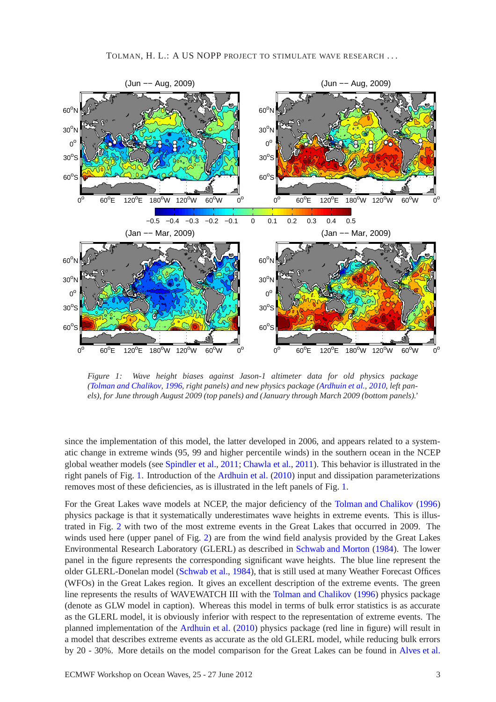

<span id="page-2-0"></span>*Figure 1: Wave height biases against Jason-1 altimeter data for old physics package [\(Tolman and Chalikov,](#page-5-7) [1996,](#page-5-7) right panels) and new physics package [\(Ardhuin et al.,](#page-4-9) [2010,](#page-4-9) left panels), for June through August 2009 (top panels) and (January through March 2009 (bottom panels).'*

since the implementation of this model, the latter developed in 2006, and appears related to a systematic change in extreme winds (95, 99 and higher percentile winds) in the southern ocean in the NCEP global weather models (see [Spindler et al.](#page-5-8), [2011](#page-5-8); [Chawla et al.](#page-4-7), [2011](#page-4-7)). This behavior is illustrated in the right panels of Fig. [1.](#page-2-0) Introduction of the [Ardhuin et al.](#page-4-9) [\(2010](#page-4-9)) input and dissipation parameterizations removes most of these deficiencies, as is illustrated in the left panels of Fig. [1.](#page-2-0)

For the Great Lakes wave models at NCEP, the major deficiency of the [Tolman and Chalikov](#page-5-7) [\(1996\)](#page-5-7) physics package is that it systematically underestimates wave heights in extreme events. This is illustrated in Fig. [2](#page-3-0) with two of the most extreme events in the Great Lakes that occurred in 2009. The winds used here (upper panel of Fig. [2\)](#page-3-0) are from the wind field analysis provided by the Great Lakes Environmental Research Laboratory (GLERL) as described in [Schwab and Morton](#page-5-9) [\(1984](#page-5-9)). The lower panel in the figure represents the corresponding significant wave heights. The blue line represent the older GLERL-Donelan model [\(Schwab et al.](#page-5-10), [1984\)](#page-5-10), that is still used at many Weather Forecast Offices (WFOs) in the Great Lakes region. It gives an excellent description of the extreme events. The green line represents the results of WAVEWATCH III with the [Tolman and Chalikov](#page-5-7) [\(1996](#page-5-7)) physics package (denote as GLW model in caption). Whereas this model in terms of bulk error statistics is as accurate as the GLERL model, it is obviously inferior with respect to the representation of extreme events. The planned implementation of the [Ardhuin et al.](#page-4-9) [\(2010](#page-4-9)) physics package (red line in figure) will result in a model that describes extreme events as accurate as the old GLERL model, while reducing bulk errors by 20 - 30%. More details on the model comparison for the Great Lakes can be found in [Alves et al.](#page-4-10)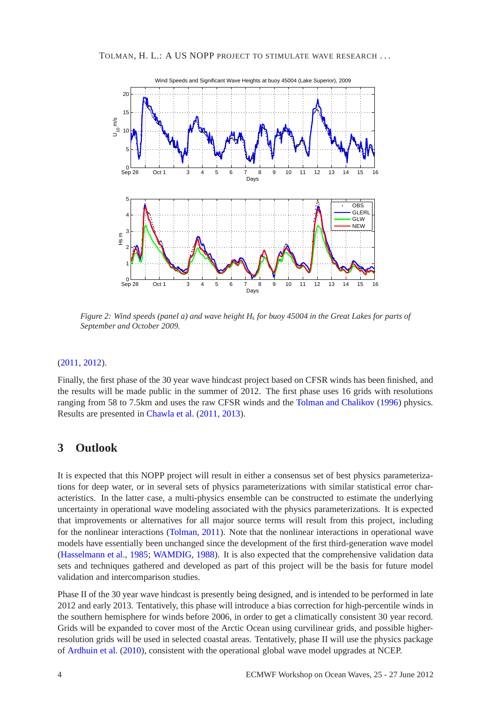

<span id="page-3-0"></span>*Figure 2: Wind speeds (panel a) and wave height H<sup>s</sup> for buoy 45004 in the Great Lakes for parts of September and October 2009.*

#### [\(2011](#page-4-10), [2012\)](#page-4-11).

Finally, the first phase of the 30 year wave hindcast project based on CFSR winds has been finished, and the results will be made public in the summer of 2012. The first phase uses 16 grids with resolutions ranging from 58 to 7.5km and uses the raw CFSR winds and the [Tolman and Chalikov](#page-5-7) [\(1996\)](#page-5-7) physics. Results are presented in [Chawla et al.](#page-4-7) [\(2011](#page-4-7), [2013](#page-4-12)).

#### **3 Outlook**

It is expected that this NOPP project will result in either a consensus set of best physics parameterizations for deep water, or in several sets of physics parameterizations with similar statistical error characteristics. In the latter case, a multi-physics ensemble can be constructed to estimate the underlying uncertainty in operational wave modeling associated with the physics parameterizations. It is expected that improvements or alternatives for all major source terms will result from this project, including for the nonlinear interactions [\(Tolman](#page-5-11), [2011](#page-5-11)). Note that the nonlinear interactions in operational wave models have essentially been unchanged since the development of the first third-generation wave model [\(Hasselmann et al.](#page-4-13), [1985](#page-4-13); [WAMDIG,](#page-5-4) [1988](#page-5-4)). It is also expected that the comprehensive validation data sets and techniques gathered and developed as part of this project will be the basis for future model validation and intercomparison studies.

Phase II of the 30 year wave hindcast is presently being designed, and is intended to be performed in late 2012 and early 2013. Tentatively, this phase will introduce a bias correction for high-percentile winds in the southern hemisphere for winds before 2006, in order to get a climatically consistent 30 year record. Grids will be expanded to cover most of the Arctic Ocean using curvilinear grids, and possible higherresolution grids will be used in selected coastal areas. Tentatively, phase II will use the physics package of [Ardhuin et al.](#page-4-9) [\(2010](#page-4-9)), consistent with the operational global wave model upgrades at NCEP.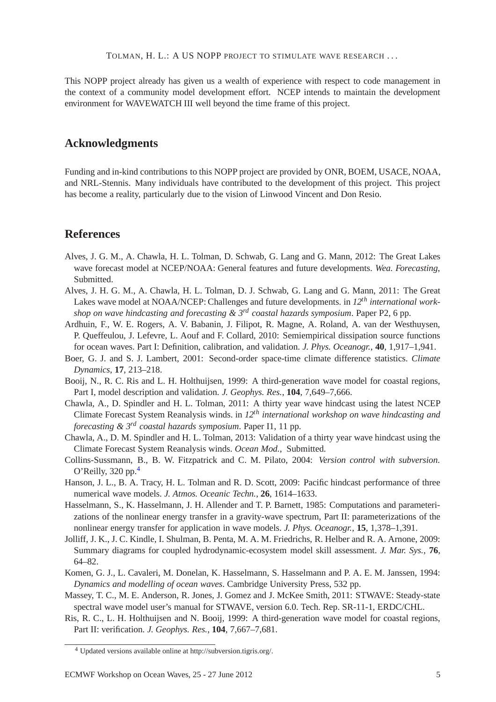TOLMAN, H. L.: A US NOPP PROJECT TO STIMULATE WAVE RESEARCH . . .

This NOPP project already has given us a wealth of experience with respect to code management in the context of a community model development effort. NCEP intends to maintain the development environment for WAVEWATCH III well beyond the time frame of this project.

#### **Acknowledgments**

Funding and in-kind contributions to this NOPP project are provided by ONR, BOEM, USACE, NOAA, and NRL-Stennis. Many individuals have contributed to the development of this project. This project has become a reality, particularly due to the vision of Linwood Vincent and Don Resio.

## **References**

- <span id="page-4-11"></span>Alves, J. G. M., A. Chawla, H. L. Tolman, D. Schwab, G. Lang and G. Mann, 2012: The Great Lakes wave forecast model at NCEP/NOAA: General features and future developments. *Wea. Forecasting*, Submitted.
- <span id="page-4-10"></span>Alves, J. H. G. M., A. Chawla, H. L. Tolman, D. J. Schwab, G. Lang and G. Mann, 2011: The Great Lakes wave model at NOAA/NCEP: Challenges and future developments. in *12th international workshop on wave hindcasting and forecasting & 3rd coastal hazards symposium*. Paper P2, 6 pp.
- <span id="page-4-9"></span>Ardhuin, F., W. E. Rogers, A. V. Babanin, J. Filipot, R. Magne, A. Roland, A. van der Westhuysen, P. Queffeulou, J. Lefevre, L. Aouf and F. Collard, 2010: Semiempirical dissipation source functions for ocean waves. Part I: Definition, calibration, and validation. *J. Phys. Oceanogr.*, **40**, 1,917–1,941.
- <span id="page-4-4"></span>Boer, G. J. and S. J. Lambert, 2001: Second-order space-time climate difference statistics. *Climate Dynamics*, **17**, 213–218.
- <span id="page-4-1"></span>Booij, N., R. C. Ris and L. H. Holthuijsen, 1999: A third-generation wave model for coastal regions, Part I, model description and validation. *J. Geophys. Res.*, **104**, 7,649–7,666.
- <span id="page-4-7"></span>Chawla, A., D. Spindler and H. L. Tolman, 2011: A thirty year wave hindcast using the latest NCEP Climate Forecast System Reanalysis winds. in *12th international workshop on wave hindcasting and forecasting & 3rd coastal hazards symposium*. Paper I1, 11 pp.
- <span id="page-4-12"></span>Chawla, A., D. M. Spindler and H. L. Tolman, 2013: Validation of a thirty year wave hindcast using the Climate Forecast System Reanalysis winds. *Ocean Mod.*, Submitted.
- <span id="page-4-8"></span>Collins-Sussmann, B., B. W. Fitzpatrick and C. M. Pilato, 2004: *Version control with subversion*. O'Reilly,  $320$  pp.<sup>[4](#page-4-14)</sup>
- <span id="page-4-6"></span>Hanson, J. L., B. A. Tracy, H. L. Tolman and R. D. Scott, 2009: Pacific hindcast performance of three numerical wave models. *J. Atmos. Oceanic Techn.*, **26**, 1614–1633.
- <span id="page-4-13"></span>Hasselmann, S., K. Hasselmann, J. H. Allender and T. P. Barnett, 1985: Computations and parameterizations of the nonlinear energy transfer in a gravity-wave spectrum, Part II: parameterizations of the nonlinear energy transfer for application in wave models. *J. Phys. Oceanogr.*, **15**, 1,378–1,391.
- <span id="page-4-5"></span>Jolliff, J. K., J. C. Kindle, I. Shulman, B. Penta, M. A. M. Friedrichs, R. Helber and R. A. Arnone, 2009: Summary diagrams for coupled hydrodynamic-ecosystem model skill assessment. *J. Mar. Sys.*, **76**, 64–82.
- <span id="page-4-0"></span>Komen, G. J., L. Cavaleri, M. Donelan, K. Hasselmann, S. Hasselmann and P. A. E. M. Janssen, 1994: *Dynamics and modelling of ocean waves*. Cambridge University Press, 532 pp.
- <span id="page-4-3"></span>Massey, T. C., M. E. Anderson, R. Jones, J. Gomez and J. McKee Smith, 2011: STWAVE: Steady-state spectral wave model user's manual for STWAVE, version 6.0. Tech. Rep. SR-11-1, ERDC/CHL.
- <span id="page-4-2"></span>Ris, R. C., L. H. Holthuijsen and N. Booij, 1999: A third-generation wave model for coastal regions, Part II: verification. *J. Geophys. Res.*, **104**, 7,667–7,681.

<span id="page-4-14"></span><sup>4</sup> Updated versions available online at http://subversion.tigris.org/.